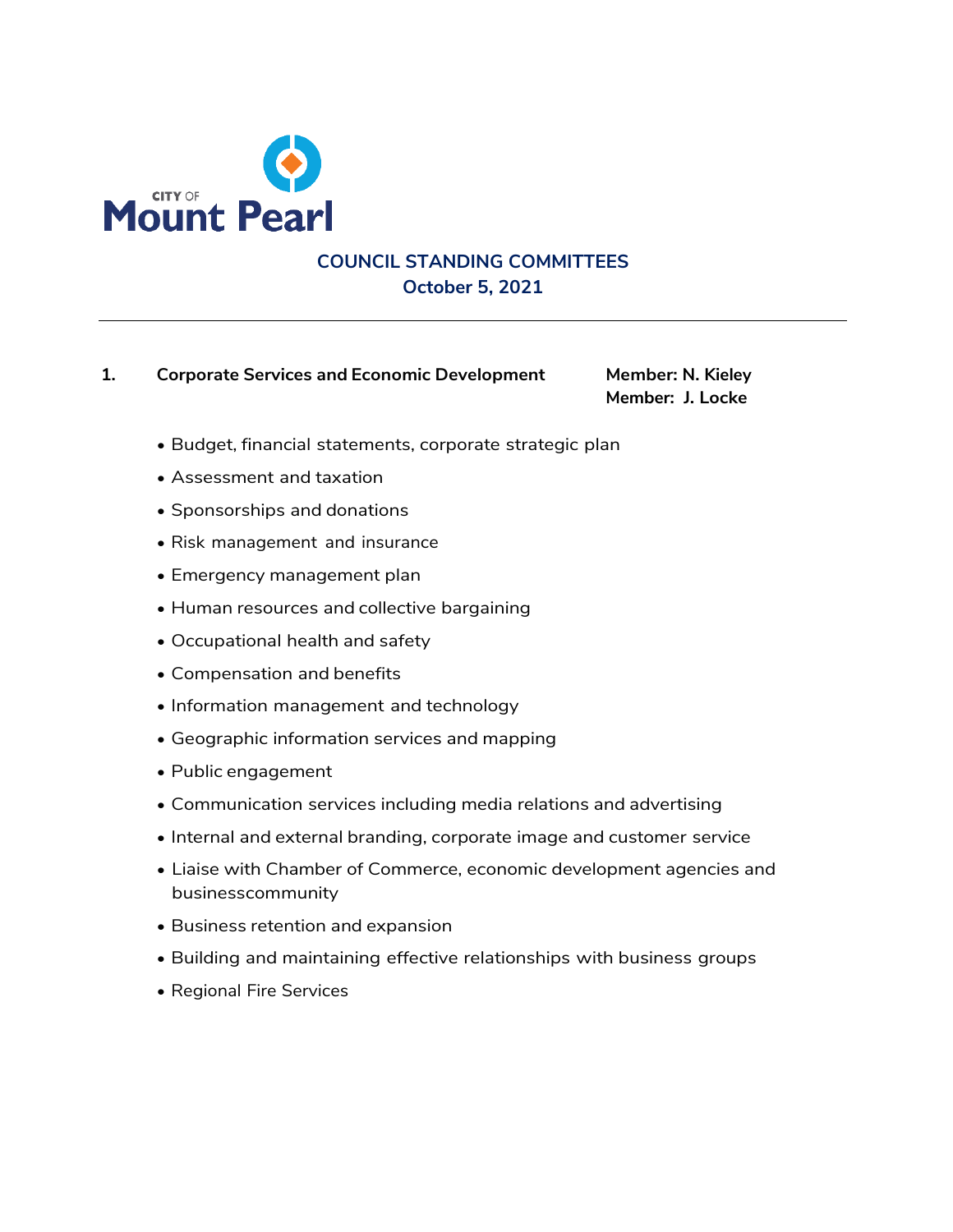

## **COUNCIL STANDING COMMITTEES October 5, 2021**

#### **1. Corporate Services and Economic Development Member: N. Kieley**

**Member: J. Locke**

- Budget, financial statements, corporate strategic plan
- Assessment and taxation
- Sponsorships and donations
- Risk management and insurance
- Emergency management plan
- Human resources and collective bargaining
- Occupational health and safety
- Compensation and benefits
- Information management and technology
- Geographic information services and mapping
- Public engagement
- Communication services including media relations and advertising
- Internal and external branding, corporate image and customer service
- Liaise with Chamber of Commerce, economic development agencies and businesscommunity
- Business retention and expansion
- Building and maintaining effective relationships with business groups
- Regional Fire Services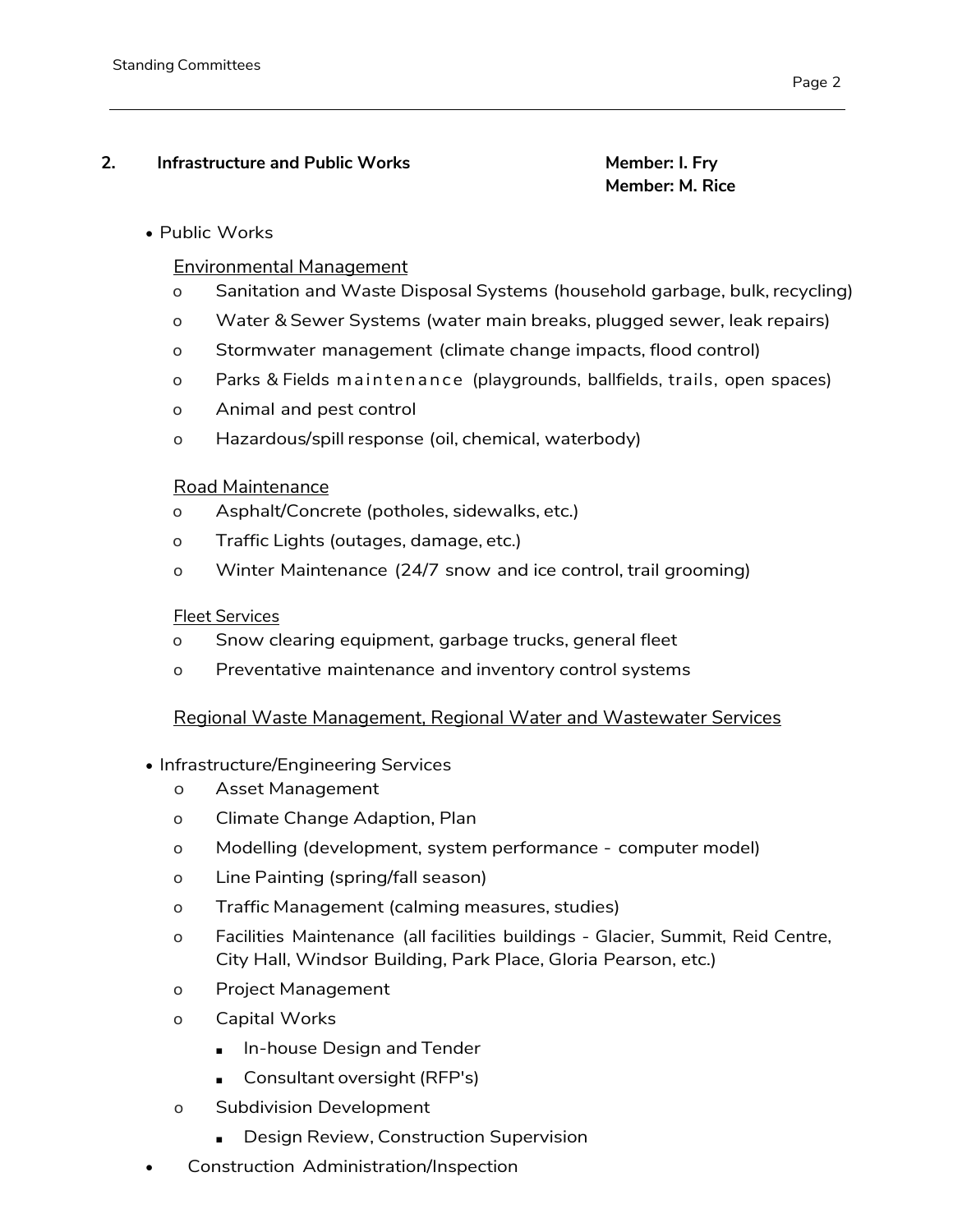#### **2. Infrastructure and Public Works Member: I. Fry**

# **Member: M. Rice**

### • Public Works

### Environmental Management

- o Sanitation and Waste Disposal Systems (household garbage, bulk, recycling)
- o Water & Sewer Systems (water main breaks, plugged sewer, leak repairs)
- o Stormwater management (climate change impacts, flood control)
- o Parks & Fields maintenance (playgrounds, ballfields, trails, open spaces)
- o Animal and pest control
- o Hazardous/spill response (oil, chemical, waterbody)

#### Road Maintenance

- o Asphalt/Concrete (potholes, sidewalks, etc.)
- o Traffic Lights (outages, damage, etc.)
- o Winter Maintenance (24/7 snow and ice control, trail grooming)

### Fleet Services

- o Snow clearing equipment, garbage trucks, general fleet
- o Preventative maintenance and inventory control systems

### Regional Waste Management, Regional Water and Wastewater Services

- Infrastructure/Engineering Services
	- o Asset Management
	- o Climate Change Adaption, Plan
	- o Modelling (development, system performance computer model)
	- o Line Painting (spring/fall season)
	- o Traffic Management (calming measures, studies)
	- o Facilities Maintenance (all facilities buildings Glacier, Summit, Reid Centre, City Hall, Windsor Building, Park Place, Gloria Pearson, etc.)
	- o Project Management
	- o Capital Works
		- In-house Design and Tender
		- Consultant oversight (RFP's)
	- o Subdivision Development
		- Design Review, Construction Supervision
- Construction Administration/Inspection